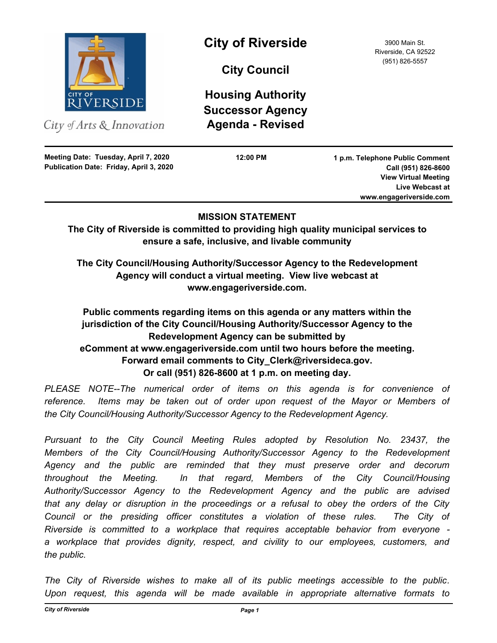

City of Arts  $\&$  Innovation

**Publication Date: Friday, April 3, 2020 Meeting Date: Tuesday, April 7, 2020**

# **City of Riverside** 3900 Main St.

**City Council**

**Housing Authority Successor Agency Agenda - Revised**

**12:00 PM**

Riverside, CA 92522 (951) 826-5557

**1 p.m. Telephone Public Comment Call (951) 826-8600 View Virtual Meeting Live Webcast at www.engageriverside.com**

## **MISSION STATEMENT**

**The City of Riverside is committed to providing high quality municipal services to ensure a safe, inclusive, and livable community**

**The City Council/Housing Authority/Successor Agency to the Redevelopment Agency will conduct a virtual meeting. View live webcast at www.engageriverside.com.**

## **Public comments regarding items on this agenda or any matters within the jurisdiction of the City Council/Housing Authority/Successor Agency to the Redevelopment Agency can be submitted by eComment at www.engageriverside.com until two hours before the meeting. Forward email comments to City\_Clerk@riversideca.gov. Or call (951) 826-8600 at 1 p.m. on meeting day.**

PLEASE NOTE--The numerical order of items on this agenda is for convenience of reference. Items may be taken out of order upon request of the Mayor or Members of *the City Council/Housing Authority/Successor Agency to the Redevelopment Agency.*

*Pursuant to the City Council Meeting Rules adopted by Resolution No. 23437, the Members of the City Council/Housing Authority/Successor Agency to the Redevelopment Agency and the public are reminded that they must preserve order and decorum throughout the Meeting. In that regard, Members of the City Council/Housing Authority/Successor Agency to the Redevelopment Agency and the public are advised that any delay or disruption in the proceedings or a refusal to obey the orders of the City Council or the presiding officer constitutes a violation of these rules. The City of Riverside is committed to a workplace that requires acceptable behavior from everyone a workplace that provides dignity, respect, and civility to our employees, customers, and the public.*

*The City of Riverside wishes to make all of its public meetings accessible to the public. Upon request, this agenda will be made available in appropriate alternative formats to*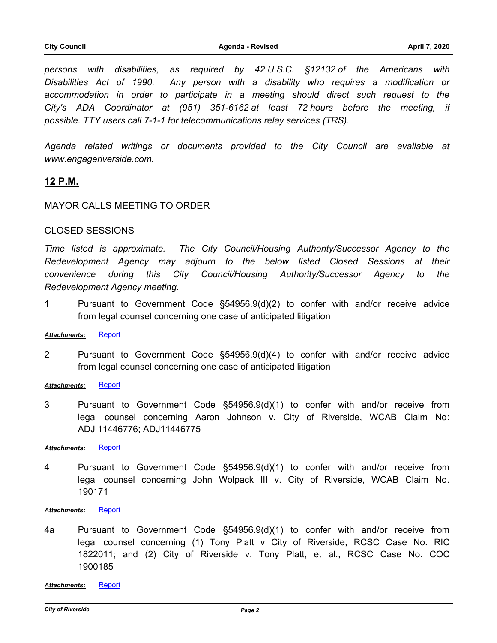*persons with disabilities, as required by 42 U.S.C. §12132 of the Americans with Disabilities Act of 1990. Any person with a disability who requires a modification or accommodation in order to participate in a meeting should direct such request to the City's ADA Coordinator at (951) 351-6162 at least 72 hours before the meeting, if possible. TTY users call 7-1-1 for telecommunications relay services (TRS).*

*Agenda related writings or documents provided to the City Council are available at www.engageriverside.com.*

## **12 P.M.**

## MAYOR CALLS MEETING TO ORDER

#### CLOSED SESSIONS

*Time listed is approximate. The City Council/Housing Authority/Successor Agency to the Redevelopment Agency may adjourn to the below listed Closed Sessions at their convenience during this City Council/Housing Authority/Successor Agency to the Redevelopment Agency meeting.*

1 Pursuant to Government Code §54956.9(d)(2) to confer with and/or receive advice from legal counsel concerning one case of anticipated litigation

## *Attachments:* [Report](http://riversideca.legistar.com/gateway.aspx?M=F&ID=e8a66a5a-fb4c-436a-afad-3e521da67938.doc)

2 Pursuant to Government Code §54956.9(d)(4) to confer with and/or receive advice from legal counsel concerning one case of anticipated litigation

## *Attachments:* [Report](http://riversideca.legistar.com/gateway.aspx?M=F&ID=1a4acc60-c30c-4ee8-8861-68cf2e95e4fa.doc)

3 Pursuant to Government Code §54956.9(d)(1) to confer with and/or receive from legal counsel concerning Aaron Johnson v. City of Riverside, WCAB Claim No: ADJ 11446776; ADJ11446775

#### *Attachments:* [Report](http://riversideca.legistar.com/gateway.aspx?M=F&ID=c6e3890c-806f-400b-96da-ac959bf450b9.DOC)

4 Pursuant to Government Code §54956.9(d)(1) to confer with and/or receive from legal counsel concerning John Wolpack III v. City of Riverside, WCAB Claim No. 190171

#### *Attachments:* [Report](http://riversideca.legistar.com/gateway.aspx?M=F&ID=a1c50788-873a-4042-a03e-1d2f263bbeeb.DOC)

4a Pursuant to Government Code §54956.9(d)(1) to confer with and/or receive from legal counsel concerning (1) Tony Platt v City of Riverside, RCSC Case No. RIC 1822011; and (2) City of Riverside v. Tony Platt, et al., RCSC Case No. COC 1900185

*Attachments:* [Report](http://riversideca.legistar.com/gateway.aspx?M=F&ID=921c427d-a686-4757-8919-6137a4582c5e.pdf)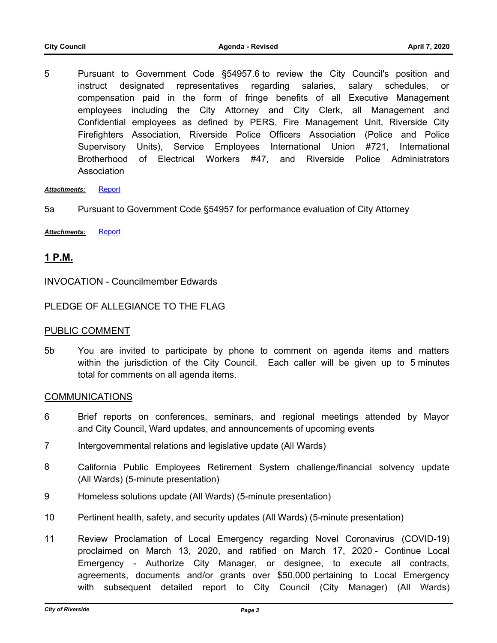5 Pursuant to Government Code §54957.6 to review the City Council's position and instruct designated representatives regarding salaries, salary schedules, or compensation paid in the form of fringe benefits of all Executive Management employees including the City Attorney and City Clerk, all Management and Confidential employees as defined by PERS, Fire Management Unit, Riverside City Firefighters Association, Riverside Police Officers Association (Police and Police Supervisory Units), Service Employees International Union #721, International Brotherhood of Electrical Workers #47, and Riverside Police Administrators Association

*Attachments:* [Report](http://riversideca.legistar.com/gateway.aspx?M=F&ID=3e9e9247-50ac-4928-806b-48ecb7d916d2.doc)

- 5a Pursuant to Government Code §54957 for performance evaluation of City Attorney
- *Attachments:* [Report](http://riversideca.legistar.com/gateway.aspx?M=F&ID=231893e1-a622-410d-9b4f-ef02f7700538.pdf)

## **1 P.M.**

INVOCATION - Councilmember Edwards

## PLEDGE OF ALLEGIANCE TO THE FLAG

## PUBLIC COMMENT

5b You are invited to participate by phone to comment on agenda items and matters within the jurisdiction of the City Council. Each caller will be given up to 5 minutes total for comments on all agenda items.

## COMMUNICATIONS

- 6 Brief reports on conferences, seminars, and regional meetings attended by Mayor and City Council, Ward updates, and announcements of upcoming events
- 7 Intergovernmental relations and legislative update (All Wards)
- 8 California Public Employees Retirement System challenge/financial solvency update (All Wards) (5-minute presentation)
- 9 Homeless solutions update (All Wards) (5-minute presentation)
- 10 Pertinent health, safety, and security updates (All Wards) (5-minute presentation)
- 11 Review Proclamation of Local Emergency regarding Novel Coronavirus (COVID-19) proclaimed on March 13, 2020, and ratified on March 17, 2020 - Continue Local Emergency - Authorize City Manager, or designee, to execute all contracts, agreements, documents and/or grants over \$50,000 pertaining to Local Emergency with subsequent detailed report to City Council (City Manager) (All Wards)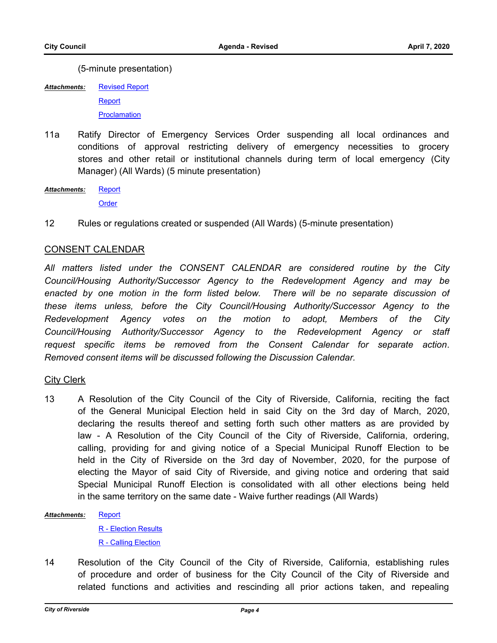(5-minute presentation)

[Revised Report](http://riversideca.legistar.com/gateway.aspx?M=F&ID=a5984acf-f3c0-4fb2-b809-7e1b72ffcd21.pdf) **[Report](http://riversideca.legistar.com/gateway.aspx?M=F&ID=4504cd72-aacc-4f1b-969e-7cb8de41fbd0.docx) [Proclamation](http://riversideca.legistar.com/gateway.aspx?M=F&ID=9be9d71b-e59a-488f-b7ef-817ea159111b.pdf)** *Attachments:*

11a Ratify Director of Emergency Services Order suspending all local ordinances and conditions of approval restricting delivery of emergency necessities to grocery stores and other retail or institutional channels during term of local emergency (City Manager) (All Wards) (5 minute presentation)

[Report](http://riversideca.legistar.com/gateway.aspx?M=F&ID=6bfabc7f-1358-4ac0-b743-2978475fa245.pdf) **[Order](http://riversideca.legistar.com/gateway.aspx?M=F&ID=714de3d6-2034-447f-abcd-7b17f7984935.pdf)** *Attachments:*

12 Rules or regulations created or suspended (All Wards) (5-minute presentation)

## CONSENT CALENDAR

*All matters listed under the CONSENT CALENDAR are considered routine by the City Council/Housing Authority/Successor Agency to the Redevelopment Agency and may be*  enacted by one motion in the form listed below. There will be no separate discussion of *these items unless, before the City Council/Housing Authority/Successor Agency to the Redevelopment Agency votes on the motion to adopt, Members of the City Council/Housing Authority/Successor Agency to the Redevelopment Agency or staff request specific items be removed from the Consent Calendar for separate action. Removed consent items will be discussed following the Discussion Calendar.*

## City Clerk

13 A Resolution of the City Council of the City of Riverside, California, reciting the fact of the General Municipal Election held in said City on the 3rd day of March, 2020, declaring the results thereof and setting forth such other matters as are provided by law - A Resolution of the City Council of the City of Riverside, California, ordering, calling, providing for and giving notice of a Special Municipal Runoff Election to be held in the City of Riverside on the 3rd day of November, 2020, for the purpose of electing the Mayor of said City of Riverside, and giving notice and ordering that said Special Municipal Runoff Election is consolidated with all other elections being held in the same territory on the same date - Waive further readings (All Wards)

#### **[Report](http://riversideca.legistar.com/gateway.aspx?M=F&ID=62880c5a-05f4-4db5-a769-8370fa50672e.docx)** *Attachments:*

[R - Election Results](http://riversideca.legistar.com/gateway.aspx?M=F&ID=79659c99-0f32-496b-863b-1943f3ed308b.doc) [R - Calling Election](http://riversideca.legistar.com/gateway.aspx?M=F&ID=357979d3-bcd3-4bd2-8500-fb680def38c4.doc)

14 Resolution of the City Council of the City of Riverside, California, establishing rules of procedure and order of business for the City Council of the City of Riverside and related functions and activities and rescinding all prior actions taken, and repealing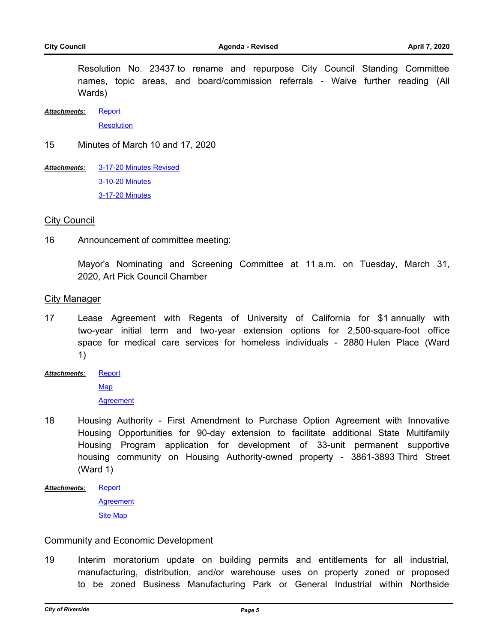Resolution No. 23437 to rename and repurpose City Council Standing Committee names, topic areas, and board/commission referrals - Waive further reading (All Wards)

**[Report](http://riversideca.legistar.com/gateway.aspx?M=F&ID=e987a6c0-39ca-4246-9e0f-147999e1e81a.docx)** *Attachments:*

**[Resolution](http://riversideca.legistar.com/gateway.aspx?M=F&ID=9db3de43-8083-4714-904b-2c9bbee43ae7.pdf)** 

15 Minutes of March 10 and 17, 2020

[3-17-20 Minutes Revised](http://riversideca.legistar.com/gateway.aspx?M=F&ID=c428c2b5-b782-4072-b40b-366ceb3d9fc5.pdf) [3-10-20 Minutes](http://riversideca.legistar.com/gateway.aspx?M=F&ID=659fe0df-c3c0-4965-9f15-c77a7558572e.pdf) [3-17-20 Minutes](http://riversideca.legistar.com/gateway.aspx?M=F&ID=ef05e08a-dbd8-4833-a00d-444b90937ee3.pdf) *Attachments:*

#### City Council

16 Announcement of committee meeting:

Mayor's Nominating and Screening Committee at 11 a.m. on Tuesday, March 31, 2020, Art Pick Council Chamber

## City Manager

17 Lease Agreement with Regents of University of California for \$1 annually with two-year initial term and two-year extension options for 2,500-square-foot office space for medical care services for homeless individuals - 2880 Hulen Place (Ward 1)

**[Report](http://riversideca.legistar.com/gateway.aspx?M=F&ID=b2d29524-6b4b-400b-b874-6d4bd5a0dd42.docx)** [Map](http://riversideca.legistar.com/gateway.aspx?M=F&ID=a461a5bd-8373-4f43-8530-348a22f5bb7d.pdf) *Attachments:*

**[Agreement](http://riversideca.legistar.com/gateway.aspx?M=F&ID=d65aaac7-0963-4359-8cf6-9a41d7e2773a.pdf)** 

- 18 Housing Authority First Amendment to Purchase Option Agreement with Innovative Housing Opportunities for 90-day extension to facilitate additional State Multifamily Housing Program application for development of 33-unit permanent supportive housing community on Housing Authority-owned property - 3861-3893 Third Street (Ward 1)
- **[Report](http://riversideca.legistar.com/gateway.aspx?M=F&ID=169db658-769f-4497-bc5c-1d09eb6ad269.docx)** *Attachments:*

**[Agreement](http://riversideca.legistar.com/gateway.aspx?M=F&ID=b63c3e13-2a3c-44f1-9782-0094558d3479.pdf)** [Site Map](http://riversideca.legistar.com/gateway.aspx?M=F&ID=7afc971c-cee7-4806-9dd3-622b34a276ab.docx)

#### Community and Economic Development

19 Interim moratorium update on building permits and entitlements for all industrial, manufacturing, distribution, and/or warehouse uses on property zoned or proposed to be zoned Business Manufacturing Park or General Industrial within Northside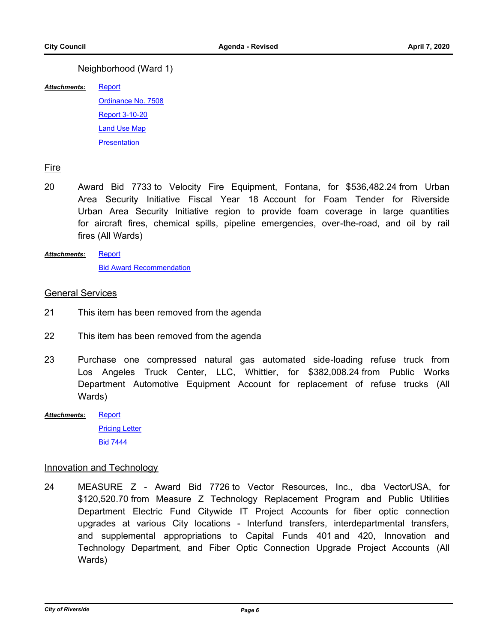## Neighborhood (Ward 1)

[Report](http://riversideca.legistar.com/gateway.aspx?M=F&ID=1dc8718e-cd0f-4232-8ed6-2226a6d82f23.docx) *Attachments:*

> [Ordinance No. 7508](http://riversideca.legistar.com/gateway.aspx?M=F&ID=42e89f5f-14ce-4e2f-ae04-4a44cfe32238.pdf) [Report 3-10-20](http://riversideca.legistar.com/gateway.aspx?M=F&ID=1f9d0ee2-4d5d-4c23-ba68-323037df893a.pdf) [Land Use Map](http://riversideca.legistar.com/gateway.aspx?M=F&ID=f13dcc5b-3bb7-48b7-b4bf-b3b68750c70d.pdf) **[Presentation](http://riversideca.legistar.com/gateway.aspx?M=F&ID=1d307459-a5b5-4fef-8453-cd4423592237.pdf)**

## Fire

- 20 Award Bid 7733 to Velocity Fire Equipment, Fontana, for \$536,482.24 from Urban Area Security Initiative Fiscal Year 18 Account for Foam Tender for Riverside Urban Area Security Initiative region to provide foam coverage in large quantities for aircraft fires, chemical spills, pipeline emergencies, over-the-road, and oil by rail fires (All Wards)
- **[Report](http://riversideca.legistar.com/gateway.aspx?M=F&ID=ffb6d64e-d83e-4b26-90dd-bdd52fe4131d.docx)** [Bid Award Recommendation](http://riversideca.legistar.com/gateway.aspx?M=F&ID=e1913b47-a323-4aed-af65-a4afb88f2b2b.pdf) *Attachments:*

## General Services

- 21 This item has been removed from the agenda
- 22 This item has been removed from the agenda
- 23 Purchase one compressed natural gas automated side-loading refuse truck from Los Angeles Truck Center, LLC, Whittier, for \$382,008.24 from Public Works Department Automotive Equipment Account for replacement of refuse trucks (All Wards)
- [Report](http://riversideca.legistar.com/gateway.aspx?M=F&ID=0c940fed-3f5c-4ee5-88a4-bb994e318fbb.docx) [Pricing Letter](http://riversideca.legistar.com/gateway.aspx?M=F&ID=7f50c886-1d02-4126-905e-501cef5753f8.pdf) [Bid 7444](http://riversideca.legistar.com/gateway.aspx?M=F&ID=d3201188-f7f1-489a-8133-30f9316651fd.pdf) *Attachments:*

## Innovation and Technology

24 MEASURE Z - Award Bid 7726 to Vector Resources, Inc., dba VectorUSA, for \$120,520.70 from Measure Z Technology Replacement Program and Public Utilities Department Electric Fund Citywide IT Project Accounts for fiber optic connection upgrades at various City locations - Interfund transfers, interdepartmental transfers, and supplemental appropriations to Capital Funds 401 and 420, Innovation and Technology Department, and Fiber Optic Connection Upgrade Project Accounts (All Wards)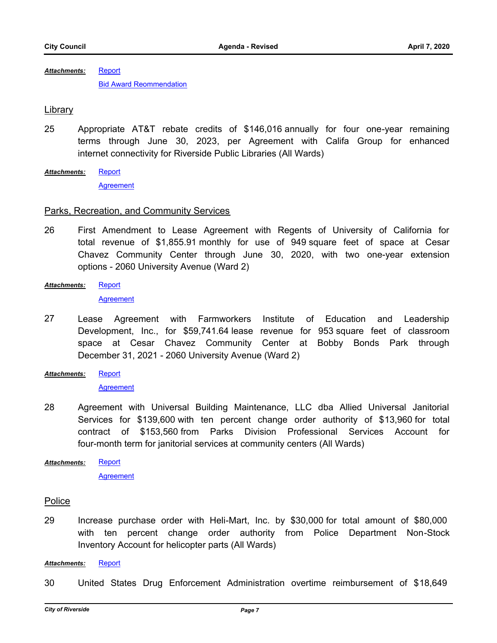**[Report](http://riversideca.legistar.com/gateway.aspx?M=F&ID=e9e2a171-e62d-4024-9943-c551649f0182.docx)** [Bid Award Reommendation](http://riversideca.legistar.com/gateway.aspx?M=F&ID=ba8c76c3-0920-4aa1-b0d4-c540abc49787.pdf) *Attachments:*

## Library

- 25 Appropriate AT&T rebate credits of \$146,016 annually for four one-year remaining terms through June 30, 2023, per Agreement with Califa Group for enhanced internet connectivity for Riverside Public Libraries (All Wards)
- **[Report](http://riversideca.legistar.com/gateway.aspx?M=F&ID=78cc4b79-8d28-4377-a147-d3658c02dac3.docx)** *Attachments:*

**[Agreement](http://riversideca.legistar.com/gateway.aspx?M=F&ID=668acc08-201b-4c9a-a6f4-23a963f74633.pdf)** 

## Parks, Recreation, and Community Services

- 26 First Amendment to Lease Agreement with Regents of University of California for total revenue of \$1,855.91 monthly for use of 949 square feet of space at Cesar Chavez Community Center through June 30, 2020, with two one-year extension options - 2060 University Avenue (Ward 2)
- **[Report](http://riversideca.legistar.com/gateway.aspx?M=F&ID=4f874d8e-3004-4b08-be4a-956949dc8214.docx)** *Attachments:*

**[Agreement](http://riversideca.legistar.com/gateway.aspx?M=F&ID=85d8f874-a499-4036-b2e1-79e7091c88d5.pdf)** 

- 27 Lease Agreement with Farmworkers Institute of Education and Leadership Development, Inc., for \$59,741.64 lease revenue for 953 square feet of classroom space at Cesar Chavez Community Center at Bobby Bonds Park through December 31, 2021 - 2060 University Avenue (Ward 2)
- **[Report](http://riversideca.legistar.com/gateway.aspx?M=F&ID=aa305c9d-545a-46de-a049-3d4fa8282e69.doc)** *Attachments:*

**[Agreement](http://riversideca.legistar.com/gateway.aspx?M=F&ID=00f351fb-ef1e-4fb1-b4ee-e57674e8a809.pdf)** 

28 Agreement with Universal Building Maintenance, LLC dba Allied Universal Janitorial Services for \$139,600 with ten percent change order authority of \$13,960 for total contract of \$153,560 from Parks Division Professional Services Account for four-month term for janitorial services at community centers (All Wards)

[Report](http://riversideca.legistar.com/gateway.aspx?M=F&ID=e70c5943-cd67-4433-ac05-d00b79f99839.docx) *Attachments:*

[Agreement](http://riversideca.legistar.com/gateway.aspx?M=F&ID=3a36e867-0f78-4a31-85d8-8ef04378ecc4.pdf)

## Police

29 Increase purchase order with Heli-Mart, Inc. by \$30,000 for total amount of \$80,000 with ten percent change order authority from Police Department Non-Stock Inventory Account for helicopter parts (All Wards)

#### *Attachments:* [Report](http://riversideca.legistar.com/gateway.aspx?M=F&ID=c3515e5e-29f4-4bb1-b5a5-9c1d0d297178.docx)

30 United States Drug Enforcement Administration overtime reimbursement of \$18,649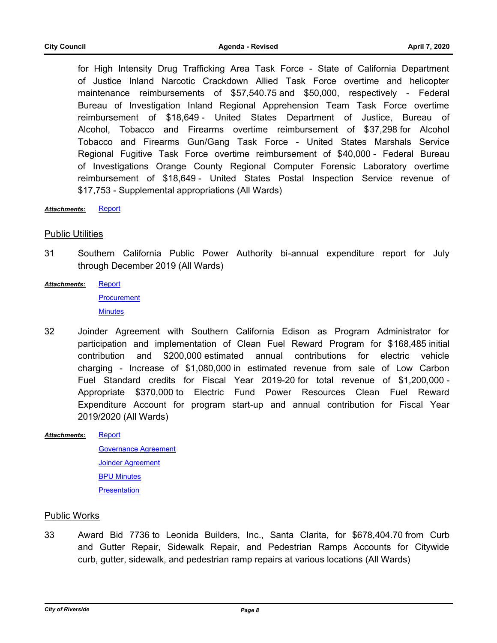for High Intensity Drug Trafficking Area Task Force - State of California Department of Justice Inland Narcotic Crackdown Allied Task Force overtime and helicopter maintenance reimbursements of \$57,540.75 and \$50,000, respectively - Federal Bureau of Investigation Inland Regional Apprehension Team Task Force overtime reimbursement of \$18,649 - United States Department of Justice, Bureau of Alcohol, Tobacco and Firearms overtime reimbursement of \$37,298 for Alcohol Tobacco and Firearms Gun/Gang Task Force - United States Marshals Service Regional Fugitive Task Force overtime reimbursement of \$40,000 - Federal Bureau of Investigations Orange County Regional Computer Forensic Laboratory overtime reimbursement of \$18,649 - United States Postal Inspection Service revenue of \$17,753 - Supplemental appropriations (All Wards)

*Attachments:* [Report](http://riversideca.legistar.com/gateway.aspx?M=F&ID=20505bbd-8b4d-48c7-a6f5-067e24be0a43.docx)

## Public Utilities

- 31 Southern California Public Power Authority bi-annual expenditure report for July through December 2019 (All Wards)
- **[Report](http://riversideca.legistar.com/gateway.aspx?M=F&ID=0dc1e3fb-e037-433f-84a7-2abbc406b906.docx)** *Attachments:*

**[Procurement](http://riversideca.legistar.com/gateway.aspx?M=F&ID=cf9b7c4c-ffa4-41ab-adda-d891fa1734f2.pdf)** 

**[Minutes](http://riversideca.legistar.com/gateway.aspx?M=F&ID=3795e866-bfe0-4a93-9a68-ea862beefe45.doc)** 

- 32 Joinder Agreement with Southern California Edison as Program Administrator for participation and implementation of Clean Fuel Reward Program for \$168,485 initial contribution and \$200,000 estimated annual contributions for electric vehicle charging - Increase of \$1,080,000 in estimated revenue from sale of Low Carbon Fuel Standard credits for Fiscal Year 2019-20 for total revenue of \$1,200,000 - Appropriate \$370,000 to Electric Fund Power Resources Clean Fuel Reward Expenditure Account for program start-up and annual contribution for Fiscal Year 2019/2020 (All Wards)
- [Report](http://riversideca.legistar.com/gateway.aspx?M=F&ID=f336dd35-2309-4123-93cb-1c6a5dbfae73.docx) [Governance Agreement](http://riversideca.legistar.com/gateway.aspx?M=F&ID=62927890-b213-46e5-a2c7-97390b3e09c4.pdf) [Joinder Agreement](http://riversideca.legistar.com/gateway.aspx?M=F&ID=bfdbedf6-8f1b-4153-bba9-2bebb0401d01.pdf) [BPU Minutes](http://riversideca.legistar.com/gateway.aspx?M=F&ID=c111648a-a122-43fe-8477-f0c49b63b06c.docx) **[Presentation](http://riversideca.legistar.com/gateway.aspx?M=F&ID=8e9f1af5-716e-4764-bce6-d4086e6fcca8.pdf)** *Attachments:*

## Public Works

33 Award Bid 7736 to Leonida Builders, Inc., Santa Clarita, for \$678,404.70 from Curb and Gutter Repair, Sidewalk Repair, and Pedestrian Ramps Accounts for Citywide curb, gutter, sidewalk, and pedestrian ramp repairs at various locations (All Wards)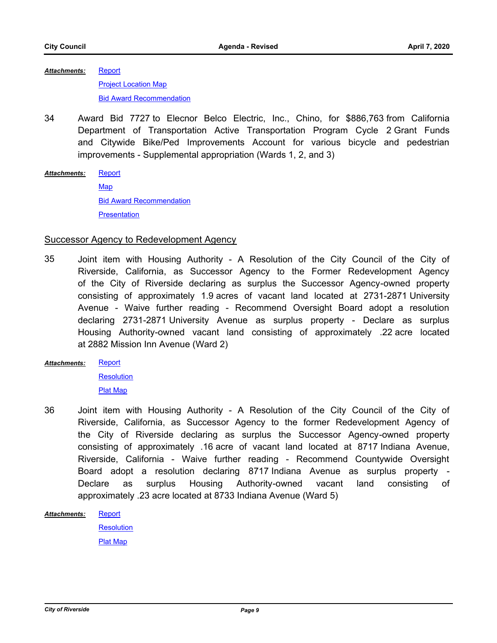**[Report](http://riversideca.legistar.com/gateway.aspx?M=F&ID=790f4110-3e44-4c6b-9541-e6070928682f.doc) [Project Location Map](http://riversideca.legistar.com/gateway.aspx?M=F&ID=69ae803e-55f2-4f8b-ba5e-54bc9808b8b0.pdf) [Bid Award Recommendation](http://riversideca.legistar.com/gateway.aspx?M=F&ID=18db9863-19cd-4747-ad52-58c0d1aeddb0.pdf)** *Attachments:*

34 Award Bid 7727 to Elecnor Belco Electric, Inc., Chino, for \$886,763 from California Department of Transportation Active Transportation Program Cycle 2 Grant Funds and Citywide Bike/Ped Improvements Account for various bicycle and pedestrian improvements - Supplemental appropriation (Wards 1, 2, and 3)

#### [Report](http://riversideca.legistar.com/gateway.aspx?M=F&ID=5c74c511-5f4c-4b46-8080-c939987aa168.docx) *Attachments:*

[Map](http://riversideca.legistar.com/gateway.aspx?M=F&ID=b50094e7-023e-4056-90b8-00d284eb13eb.pdf) **[Bid Award Recommendation](http://riversideca.legistar.com/gateway.aspx?M=F&ID=d994be9c-e3ab-48b1-ad40-25d70acc9cfb.pdf) [Presentation](http://riversideca.legistar.com/gateway.aspx?M=F&ID=a4f8fe61-f07c-46f0-b35b-cc9a3d135e01.pdf)** 

## Successor Agency to Redevelopment Agency

- 35 Joint item with Housing Authority A Resolution of the City Council of the City of Riverside, California, as Successor Agency to the Former Redevelopment Agency of the City of Riverside declaring as surplus the Successor Agency-owned property consisting of approximately 1.9 acres of vacant land located at 2731-2871 University Avenue - Waive further reading - Recommend Oversight Board adopt a resolution declaring 2731-2871 University Avenue as surplus property - Declare as surplus Housing Authority-owned vacant land consisting of approximately .22 acre located at 2882 Mission Inn Avenue (Ward 2)
- **[Report](http://riversideca.legistar.com/gateway.aspx?M=F&ID=9e7d7169-8f45-4b95-b3b3-d64f5b16bcdf.docx)** *Attachments:*

**[Resolution](http://riversideca.legistar.com/gateway.aspx?M=F&ID=bbfa5825-b756-4673-94b4-0deba5eda648.docx)** [Plat Map](http://riversideca.legistar.com/gateway.aspx?M=F&ID=f78dfdb6-0e6e-417b-a8a6-e97f893abb19.pdf)

- 36 Joint item with Housing Authority A Resolution of the City Council of the City of Riverside, California, as Successor Agency to the former Redevelopment Agency of the City of Riverside declaring as surplus the Successor Agency-owned property consisting of approximately .16 acre of vacant land located at 8717 Indiana Avenue, Riverside, California - Waive further reading - Recommend Countywide Oversight Board adopt a resolution declaring 8717 Indiana Avenue as surplus property - Declare as surplus Housing Authority-owned vacant land consisting of approximately .23 acre located at 8733 Indiana Avenue (Ward 5)
- **[Report](http://riversideca.legistar.com/gateway.aspx?M=F&ID=a75af515-d230-41b9-8285-d29b54a6f7b9.docx)** *Attachments:*

**[Resolution](http://riversideca.legistar.com/gateway.aspx?M=F&ID=2dfc3b64-e7b3-470f-be19-5047682b3263.docx)** [Plat Map](http://riversideca.legistar.com/gateway.aspx?M=F&ID=94d186f7-159c-40c2-baf7-086992d0f668.pdf)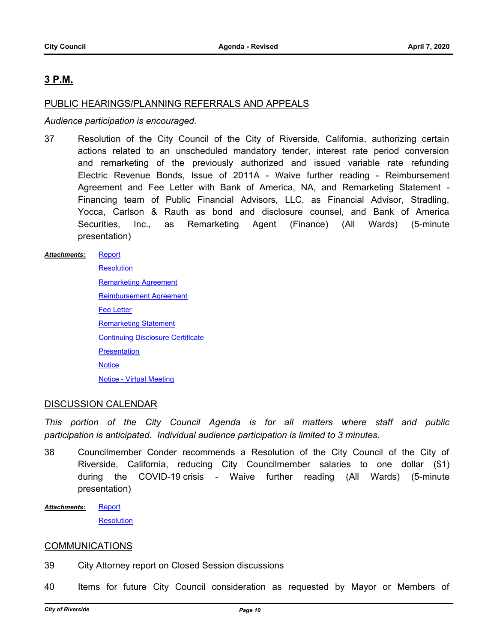## **3 P.M.**

## PUBLIC HEARINGS/PLANNING REFERRALS AND APPEALS

## *Audience participation is encouraged.*

37 Resolution of the City Council of the City of Riverside, California, authorizing certain actions related to an unscheduled mandatory tender, interest rate period conversion and remarketing of the previously authorized and issued variable rate refunding Electric Revenue Bonds, Issue of 2011A - Waive further reading - Reimbursement Agreement and Fee Letter with Bank of America, NA, and Remarketing Statement - Financing team of Public Financial Advisors, LLC, as Financial Advisor, Stradling, Yocca, Carlson & Rauth as bond and disclosure counsel, and Bank of America Securities, Inc., as Remarketing Agent (Finance) (All Wards) (5-minute presentation)

#### **[Report](http://riversideca.legistar.com/gateway.aspx?M=F&ID=36f810d3-0c18-45b7-821a-5f306b601e2a.docx)** *Attachments:*

**[Resolution](http://riversideca.legistar.com/gateway.aspx?M=F&ID=694627dd-b803-457d-b494-027260e57cec.docx)** [Remarketing Agreement](http://riversideca.legistar.com/gateway.aspx?M=F&ID=9f54fddb-935c-4a8a-8138-cf88827bde3f.doc) [Reimbursement Agreement](http://riversideca.legistar.com/gateway.aspx?M=F&ID=c1fbf844-e0b7-4971-bb57-5863f8f35df8.docx) [Fee Letter](http://riversideca.legistar.com/gateway.aspx?M=F&ID=1d6e4a8c-1a5e-4ca8-8f70-96effc5bb54f.docx) [Remarketing Statement](http://riversideca.legistar.com/gateway.aspx?M=F&ID=8de6873e-2817-4220-976e-2228c08fb0cf.docx) [Continuing Disclosure Certificate](http://riversideca.legistar.com/gateway.aspx?M=F&ID=c076a9da-0219-4567-8784-46a87067d13e.docx) **[Presentation](http://riversideca.legistar.com/gateway.aspx?M=F&ID=fa3bb403-22ec-4ea2-a0bd-df63bd650384.pdf) [Notice](http://riversideca.legistar.com/gateway.aspx?M=F&ID=f8097e1c-f4d5-420d-99db-86da59e72e64.pdf)** [Notice - Virtual Meeting](http://riversideca.legistar.com/gateway.aspx?M=F&ID=26ca9f43-b22f-455d-a029-5a1404b13033.pdf)

## DISCUSSION CALENDAR

*This portion of the City Council Agenda is for all matters where staff and public participation is anticipated. Individual audience participation is limited to 3 minutes.*

- 38 Councilmember Conder recommends a Resolution of the City Council of the City of Riverside, California, reducing City Councilmember salaries to one dollar (\$1) during the COVID-19 crisis - Waive further reading (All Wards) (5-minute presentation)
- **[Report](http://riversideca.legistar.com/gateway.aspx?M=F&ID=f54a19f8-7590-4f38-9723-f3d1acee6482.pdf) [Resolution](http://riversideca.legistar.com/gateway.aspx?M=F&ID=00e5398a-0f27-4112-84e1-7027a5df1320.pdf)** *Attachments:*

## **COMMUNICATIONS**

- 39 City Attorney report on Closed Session discussions
- 40 Items for future City Council consideration as requested by Mayor or Members of